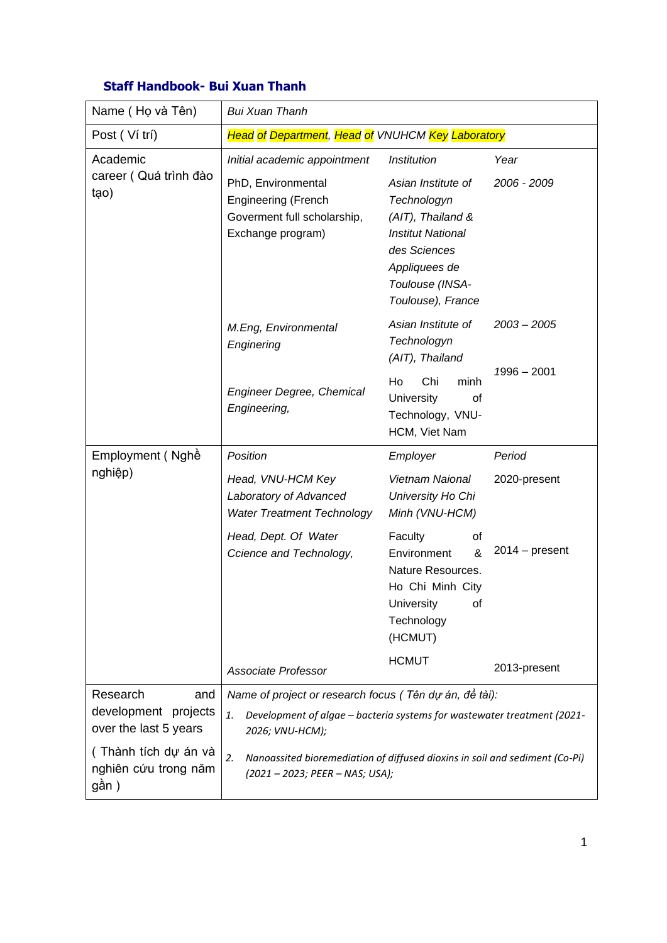| Name (Họ và Tên)                                                 | <b>Bui Xuan Thanh</b>                                                                                                                                       |                                                                                                                                                             |                  |  |
|------------------------------------------------------------------|-------------------------------------------------------------------------------------------------------------------------------------------------------------|-------------------------------------------------------------------------------------------------------------------------------------------------------------|------------------|--|
| Post (Ví trí)                                                    | Head of Department, Head of VNUHCM Key Laboratory                                                                                                           |                                                                                                                                                             |                  |  |
| Academic<br>career (Quá trình đào<br>tạo)                        | Initial academic appointment                                                                                                                                | Institution                                                                                                                                                 | Year             |  |
|                                                                  | PhD, Environmental<br><b>Engineering (French</b><br>Goverment full scholarship,<br>Exchange program)                                                        | Asian Institute of<br>Technologyn<br>(AIT), Thailand &<br><b>Institut National</b><br>des Sciences<br>Appliquees de<br>Toulouse (INSA-<br>Toulouse), France | 2006 - 2009      |  |
|                                                                  | M.Eng, Environmental<br>Enginering                                                                                                                          | Asian Institute of<br>Technologyn<br>(AIT), Thailand                                                                                                        | $2003 - 2005$    |  |
|                                                                  | <b>Engineer Degree, Chemical</b><br>Engineering,                                                                                                            | Ho<br>Chi<br>minh<br><b>University</b><br>οf<br>Technology, VNU-<br>HCM, Viet Nam                                                                           | $1996 - 2001$    |  |
| Employment (Nghề<br>nghiệp)                                      | Position                                                                                                                                                    | Employer                                                                                                                                                    | Period           |  |
|                                                                  | Head, VNU-HCM Key<br>Laboratory of Advanced<br><b>Water Treatment Technology</b>                                                                            | <b>Vietnam Naional</b><br>University Ho Chi<br>Minh (VNU-HCM)                                                                                               | 2020-present     |  |
|                                                                  | Head, Dept. Of Water<br>Ccience and Technology,                                                                                                             | Faculty<br>of<br>&<br>Environment<br>Nature Resources.<br>Ho Chi Minh City<br>University<br>οf<br>Technology<br>(HCMUT)                                     | $2014 - present$ |  |
|                                                                  | <b>Associate Professor</b>                                                                                                                                  | <b>HCMUT</b>                                                                                                                                                | 2013-present     |  |
| Research<br>and<br>development projects<br>over the last 5 years | Name of project or research focus ( Tên dự án, đề tài):<br>Development of algae - bacteria systems for wastewater treatment (2021-<br>1.<br>2026; VNU-HCM); |                                                                                                                                                             |                  |  |
| (Thành tích dự án và<br>nghiên cứu trong năm<br>gần )            | 2.<br>Nanoassited bioremediation of diffused dioxins in soil and sediment (Co-Pi)<br>(2021 - 2023; PEER - NAS; USA);                                        |                                                                                                                                                             |                  |  |

## **Staff Handbook- Bui Xuan Thanh**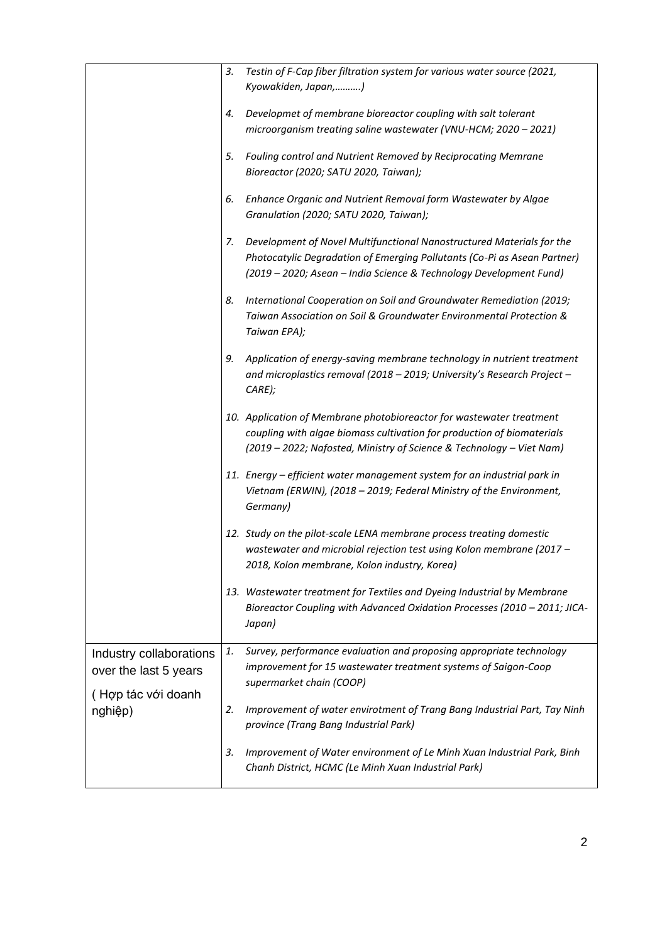|                         | 3. | Testin of F-Cap fiber filtration system for various water source (2021,   |
|-------------------------|----|---------------------------------------------------------------------------|
|                         |    | Kyowakiden, Japan,)                                                       |
|                         | 4. | Developmet of membrane bioreactor coupling with salt tolerant             |
|                         |    | microorganism treating saline wastewater (VNU-HCM; 2020 - 2021)           |
|                         | 5. | Fouling control and Nutrient Removed by Reciprocating Memrane             |
|                         |    | Bioreactor (2020; SATU 2020, Taiwan);                                     |
|                         | 6. | Enhance Organic and Nutrient Removal form Wastewater by Algae             |
|                         |    | Granulation (2020; SATU 2020, Taiwan);                                    |
|                         | 7. | Development of Novel Multifunctional Nanostructured Materials for the     |
|                         |    | Photocatylic Degradation of Emerging Pollutants (Co-Pi as Asean Partner)  |
|                         |    | (2019 - 2020; Asean - India Science & Technology Development Fund)        |
|                         | 8. | International Cooperation on Soil and Groundwater Remediation (2019;      |
|                         |    | Taiwan Association on Soil & Groundwater Environmental Protection &       |
|                         |    | Taiwan EPA);                                                              |
|                         | 9. | Application of energy-saving membrane technology in nutrient treatment    |
|                         |    | and microplastics removal (2018 - 2019; University's Research Project -   |
|                         |    | CARE);                                                                    |
|                         |    | 10. Application of Membrane photobioreactor for wastewater treatment      |
|                         |    | coupling with algae biomass cultivation for production of biomaterials    |
|                         |    | (2019 - 2022; Nafosted, Ministry of Science & Technology - Viet Nam)      |
|                         |    | 11. Energy - efficient water management system for an industrial park in  |
|                         |    | Vietnam (ERWIN), (2018 - 2019; Federal Ministry of the Environment,       |
|                         |    | Germany)                                                                  |
|                         |    | 12. Study on the pilot-scale LENA membrane process treating domestic      |
|                         |    | wastewater and microbial rejection test using Kolon membrane (2017 -      |
|                         |    | 2018, Kolon membrane, Kolon industry, Korea)                              |
|                         |    | 13. Wastewater treatment for Textiles and Dyeing Industrial by Membrane   |
|                         |    | Bioreactor Coupling with Advanced Oxidation Processes (2010 - 2011; JICA- |
|                         |    | Japan)                                                                    |
| Industry collaborations | 1. | Survey, performance evaluation and proposing appropriate technology       |
| over the last 5 years   |    | improvement for 15 wastewater treatment systems of Saigon-Coop            |
| (Hợp tác với doanh      |    | supermarket chain (COOP)                                                  |
| nghiệp)                 | 2. | Improvement of water envirotment of Trang Bang Industrial Part, Tay Ninh  |
|                         |    | province (Trang Bang Industrial Park)                                     |
|                         | 3. | Improvement of Water environment of Le Minh Xuan Industrial Park, Binh    |
|                         |    | Chanh District, HCMC (Le Minh Xuan Industrial Park)                       |
|                         |    |                                                                           |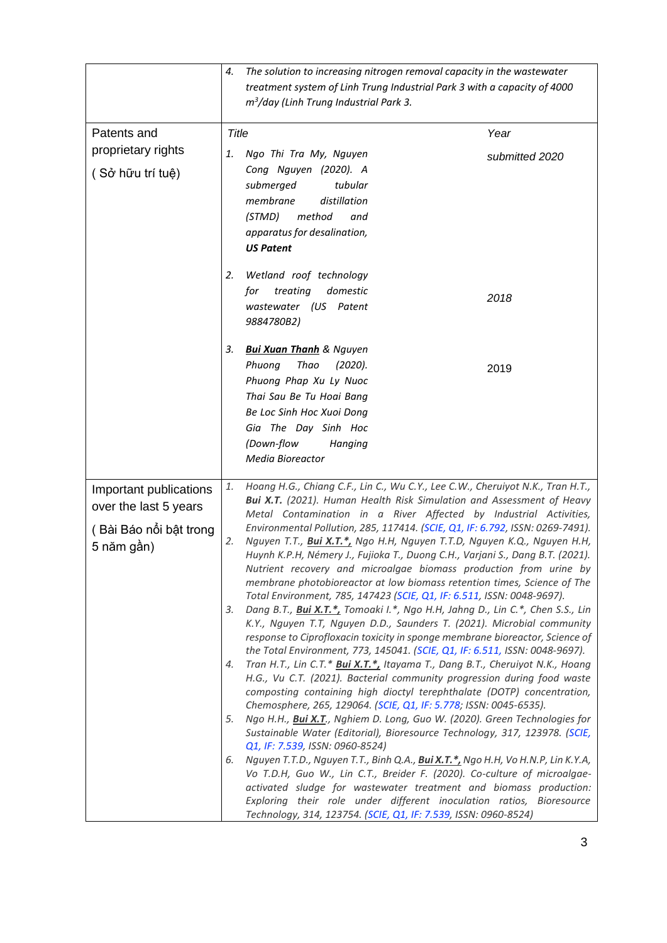|                        | 4.           | The solution to increasing nitrogen removal capacity in the wastewater                                                                                         |                |
|------------------------|--------------|----------------------------------------------------------------------------------------------------------------------------------------------------------------|----------------|
|                        |              | treatment system of Linh Trung Industrial Park 3 with a capacity of 4000                                                                                       |                |
|                        |              | $m3/day$ (Linh Trung Industrial Park 3.                                                                                                                        |                |
|                        |              |                                                                                                                                                                |                |
| Patents and            | <b>Title</b> |                                                                                                                                                                | Year           |
| proprietary rights     | 1.           | Ngo Thi Tra My, Nguyen                                                                                                                                         | submitted 2020 |
| (Sở hữu trí tuệ)       |              | Cong Nguyen (2020). A                                                                                                                                          |                |
|                        |              | tubular<br>submerged                                                                                                                                           |                |
|                        |              | membrane<br>distillation                                                                                                                                       |                |
|                        |              | (STMD)<br>method<br>and                                                                                                                                        |                |
|                        |              | apparatus for desalination,                                                                                                                                    |                |
|                        |              | <b>US Patent</b>                                                                                                                                               |                |
|                        | 2.           | Wetland roof technology                                                                                                                                        |                |
|                        |              | treating<br>domestic<br>for                                                                                                                                    |                |
|                        |              | wastewater (US Patent                                                                                                                                          | 2018           |
|                        |              | 9884780B2)                                                                                                                                                     |                |
|                        | з.           | <b>Bui Xuan Thanh</b> & Nguyen                                                                                                                                 |                |
|                        |              | Thao<br>Phuong<br>(2020).                                                                                                                                      |                |
|                        |              | Phuong Phap Xu Ly Nuoc                                                                                                                                         | 2019           |
|                        |              | Thai Sau Be Tu Hoai Bang                                                                                                                                       |                |
|                        |              | Be Loc Sinh Hoc Xuoi Dong                                                                                                                                      |                |
|                        |              | Gia The Day Sinh Hoc                                                                                                                                           |                |
|                        |              | (Down-flow<br>Hanging                                                                                                                                          |                |
|                        |              | Media Bioreactor                                                                                                                                               |                |
|                        |              |                                                                                                                                                                |                |
| Important publications | 1.           | Hoang H.G., Chiang C.F., Lin C., Wu C.Y., Lee C.W., Cheruiyot N.K., Tran H.T.,<br><b>Bui X.T.</b> (2021). Human Health Risk Simulation and Assessment of Heavy |                |
| over the last 5 years  |              | Metal Contamination in a River Affected by Industrial Activities,                                                                                              |                |
| (Bài Báo nối bật trong |              | Environmental Pollution, 285, 117414. (SCIE, Q1, IF: 6.792, ISSN: 0269-7491).                                                                                  |                |
| 5 năm gần)             | 2.           | Nguyen T.T., Bui X.T.*, Ngo H.H, Nguyen T.T.D, Nguyen K.Q., Nguyen H.H,                                                                                        |                |
|                        |              | Huynh K.P.H, Némery J., Fujioka T., Duong C.H., Varjani S., Dang B.T. (2021).                                                                                  |                |
|                        |              | Nutrient recovery and microalgae biomass production from urine by<br>membrane photobioreactor at low biomass retention times, Science of The                   |                |
|                        |              | Total Environment, 785, 147423 (SCIE, Q1, IF: 6.511, ISSN: 0048-9697).                                                                                         |                |
|                        | З.           | Dang B.T., Bui X.T.*, Tomoaki I.*, Ngo H.H, Jahng D., Lin C.*, Chen S.S., Lin                                                                                  |                |
|                        |              | K.Y., Nguyen T.T, Nguyen D.D., Saunders T. (2021). Microbial community                                                                                         |                |
|                        |              | response to Ciprofloxacin toxicity in sponge membrane bioreactor, Science of                                                                                   |                |
|                        | 4.           | the Total Environment, 773, 145041. (SCIE, Q1, IF: 6.511, ISSN: 0048-9697).<br>Tran H.T., Lin C.T.* Bui X.T.*, Itayama T., Dang B.T., Cheruiyot N.K., Hoang    |                |
|                        |              | H.G., Vu C.T. (2021). Bacterial community progression during food waste                                                                                        |                |
|                        |              | composting containing high dioctyl terephthalate (DOTP) concentration,                                                                                         |                |
|                        |              | Chemosphere, 265, 129064. (SCIE, Q1, IF: 5.778; ISSN: 0045-6535).                                                                                              |                |
|                        | 5.           | Ngo H.H., Bui X.T., Nghiem D. Long, Guo W. (2020). Green Technologies for                                                                                      |                |
|                        |              | Sustainable Water (Editorial), Bioresource Technology, 317, 123978. (SCIE,<br>Q1, IF: 7.539, ISSN: 0960-8524)                                                  |                |
|                        | 6.           | Nguyen T.T.D., Nguyen T.T., Binh Q.A., Bui X.T.*, Ngo H.H, Vo H.N.P, Lin K.Y.A,                                                                                |                |
|                        |              | Vo T.D.H, Guo W., Lin C.T., Breider F. (2020). Co-culture of microalgae-                                                                                       |                |
|                        |              | activated sludge for wastewater treatment and biomass production:                                                                                              |                |
|                        |              | Exploring their role under different inoculation ratios, Bioresource                                                                                           |                |
|                        |              | Technology, 314, 123754. (SCIE, Q1, IF: 7.539, ISSN: 0960-8524)                                                                                                |                |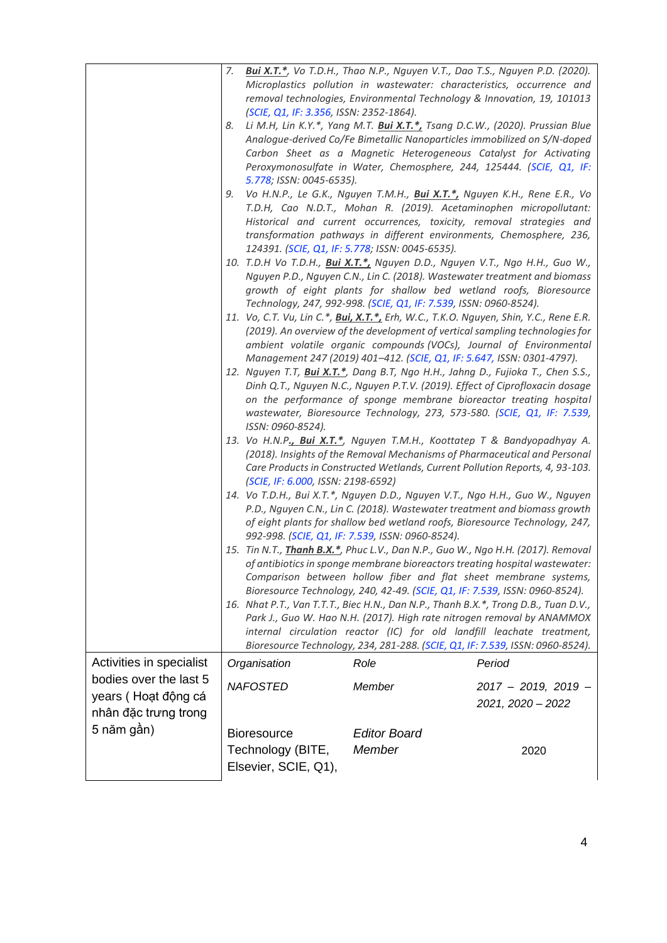|                                    | 7.                                                                          |                                                                                                                                                                 |                                                                                                                                                                 | <b>Bui X.T.*</b> , Vo T.D.H., Thao N.P., Nguyen V.T., Dao T.S., Nguyen P.D. (2020). |  |
|------------------------------------|-----------------------------------------------------------------------------|-----------------------------------------------------------------------------------------------------------------------------------------------------------------|-----------------------------------------------------------------------------------------------------------------------------------------------------------------|-------------------------------------------------------------------------------------|--|
|                                    |                                                                             |                                                                                                                                                                 | removal technologies, Environmental Technology & Innovation, 19, 101013                                                                                         | Microplastics pollution in wastewater: characteristics, occurrence and              |  |
|                                    |                                                                             | (SCIE, Q1, IF: 3.356, ISSN: 2352-1864).                                                                                                                         |                                                                                                                                                                 |                                                                                     |  |
|                                    | 8.                                                                          |                                                                                                                                                                 | Li M.H, Lin K.Y.*, Yang M.T. Bui X.T.*, Tsang D.C.W., (2020). Prussian Blue                                                                                     |                                                                                     |  |
|                                    |                                                                             |                                                                                                                                                                 | Carbon Sheet as a Magnetic Heterogeneous Catalyst for Activating                                                                                                | Analogue-derived Co/Fe Bimetallic Nanoparticles immobilized on S/N-doped            |  |
|                                    |                                                                             |                                                                                                                                                                 | Peroxymonosulfate in Water, Chemosphere, 244, 125444. (SCIE, Q1, IF:                                                                                            |                                                                                     |  |
|                                    |                                                                             | 5.778; ISSN: 0045-6535).                                                                                                                                        |                                                                                                                                                                 |                                                                                     |  |
|                                    | 9.                                                                          |                                                                                                                                                                 | Vo H.N.P., Le G.K., Nguyen T.M.H., Bui X.T.*, Nguyen K.H., Rene E.R., Vo<br>T.D.H, Cao N.D.T., Mohan R. (2019). Acetaminophen micropollutant:                   |                                                                                     |  |
|                                    |                                                                             |                                                                                                                                                                 | Historical and current occurrences, toxicity, removal strategies and                                                                                            |                                                                                     |  |
|                                    |                                                                             |                                                                                                                                                                 | transformation pathways in different environments, Chemosphere, 236,                                                                                            |                                                                                     |  |
|                                    |                                                                             |                                                                                                                                                                 | 124391. (SCIE, Q1, IF: 5.778; ISSN: 0045-6535).                                                                                                                 |                                                                                     |  |
|                                    |                                                                             |                                                                                                                                                                 | 10. T.D.H Vo T.D.H., Bui X.T.*, Nguyen D.D., Nguyen V.T., Ngo H.H., Guo W.,<br>Nguyen P.D., Nguyen C.N., Lin C. (2018). Wastewater treatment and biomass        |                                                                                     |  |
|                                    |                                                                             |                                                                                                                                                                 | growth of eight plants for shallow bed wetland roofs, Bioresource                                                                                               |                                                                                     |  |
|                                    |                                                                             |                                                                                                                                                                 | Technology, 247, 992-998. (SCIE, Q1, IF: 7.539, ISSN: 0960-8524).                                                                                               |                                                                                     |  |
|                                    |                                                                             |                                                                                                                                                                 | 11. Vo, C.T. Vu, Lin C.*, Bui, X.T.*, Erh, W.C., T.K.O. Nguyen, Shin, Y.C., Rene E.R.                                                                           |                                                                                     |  |
|                                    |                                                                             | (2019). An overview of the development of vertical sampling technologies for<br>ambient volatile organic compounds (VOCs), Journal of Environmental             |                                                                                                                                                                 |                                                                                     |  |
|                                    |                                                                             |                                                                                                                                                                 | Management 247 (2019) 401-412. (SCIE, Q1, IF: 5.647, ISSN: 0301-4797).                                                                                          |                                                                                     |  |
|                                    |                                                                             |                                                                                                                                                                 | 12. Nguyen T.T, Bui X.T.*, Dang B.T, Ngo H.H., Jahng D., Fujioka T., Chen S.S.,<br>Dinh Q.T., Nguyen N.C., Nguyen P.T.V. (2019). Effect of Ciprofloxacin dosage |                                                                                     |  |
|                                    |                                                                             |                                                                                                                                                                 |                                                                                                                                                                 | on the performance of sponge membrane bioreactor treating hospital                  |  |
|                                    |                                                                             | wastewater, Bioresource Technology, 273, 573-580. (SCIE, Q1, IF: 7.539,                                                                                         |                                                                                                                                                                 |                                                                                     |  |
|                                    |                                                                             | ISSN: 0960-8524).                                                                                                                                               |                                                                                                                                                                 |                                                                                     |  |
|                                    |                                                                             | 13. Vo H.N.P., Bui X.T.*, Nguyen T.M.H., Koottatep T & Bandyopadhyay A.<br>(2018). Insights of the Removal Mechanisms of Pharmaceutical and Personal            |                                                                                                                                                                 |                                                                                     |  |
|                                    |                                                                             |                                                                                                                                                                 | Care Products in Constructed Wetlands, Current Pollution Reports, 4, 93-103.                                                                                    |                                                                                     |  |
|                                    |                                                                             | (SCIE, IF: 6.000, ISSN: 2198-6592)                                                                                                                              |                                                                                                                                                                 |                                                                                     |  |
|                                    |                                                                             | 14. Vo T.D.H., Bui X.T.*, Nguyen D.D., Nguyen V.T., Ngo H.H., Guo W., Nguyen<br>P.D., Nguyen C.N., Lin C. (2018). Wastewater treatment and biomass growth       |                                                                                                                                                                 |                                                                                     |  |
|                                    |                                                                             | of eight plants for shallow bed wetland roofs, Bioresource Technology, 247,                                                                                     |                                                                                                                                                                 |                                                                                     |  |
|                                    |                                                                             |                                                                                                                                                                 | 992-998. (SCIE, Q1, IF: 7.539, ISSN: 0960-8524).                                                                                                                |                                                                                     |  |
|                                    |                                                                             | 15. Tin N.T., Thanh B.X.*, Phuc L.V., Dan N.P., Guo W., Ngo H.H. (2017). Removal<br>of antibiotics in sponge membrane bioreactors treating hospital wastewater: |                                                                                                                                                                 |                                                                                     |  |
|                                    |                                                                             | Comparison between hollow fiber and flat sheet membrane systems,                                                                                                |                                                                                                                                                                 |                                                                                     |  |
|                                    | Bioresource Technology, 240, 42-49. (SCIE, Q1, IF: 7.539, ISSN: 0960-8524). |                                                                                                                                                                 |                                                                                                                                                                 |                                                                                     |  |
|                                    |                                                                             |                                                                                                                                                                 | 16. Nhat P.T., Van T.T.T., Biec H.N., Dan N.P., Thanh B.X.*, Trong D.B., Tuan D.V.,<br>Park J., Guo W. Hao N.H. (2017). High rate nitrogen removal by ANAMMOX   |                                                                                     |  |
|                                    |                                                                             |                                                                                                                                                                 | internal circulation reactor (IC) for old landfill leachate treatment,                                                                                          |                                                                                     |  |
|                                    |                                                                             |                                                                                                                                                                 | Bioresource Technology, 234, 281-288. (SCIE, Q1, IF: 7.539, ISSN: 0960-8524).                                                                                   |                                                                                     |  |
| Activities in specialist           |                                                                             | Organisation                                                                                                                                                    | Role                                                                                                                                                            | Period                                                                              |  |
| bodies over the last 5             |                                                                             | <b>NAFOSTED</b>                                                                                                                                                 | Member                                                                                                                                                          | $2017 - 2019$ , 2019 -                                                              |  |
| years (Hoạt động cá                |                                                                             |                                                                                                                                                                 |                                                                                                                                                                 | 2021, 2020 - 2022                                                                   |  |
| nhân đặc trưng trong<br>5 năm gần) |                                                                             |                                                                                                                                                                 |                                                                                                                                                                 |                                                                                     |  |
|                                    |                                                                             | <b>Bioresource</b>                                                                                                                                              | <b>Editor Board</b>                                                                                                                                             |                                                                                     |  |
|                                    |                                                                             | Technology (BITE,                                                                                                                                               | Member                                                                                                                                                          | 2020                                                                                |  |
|                                    |                                                                             | Elsevier, SCIE, Q1),                                                                                                                                            |                                                                                                                                                                 |                                                                                     |  |